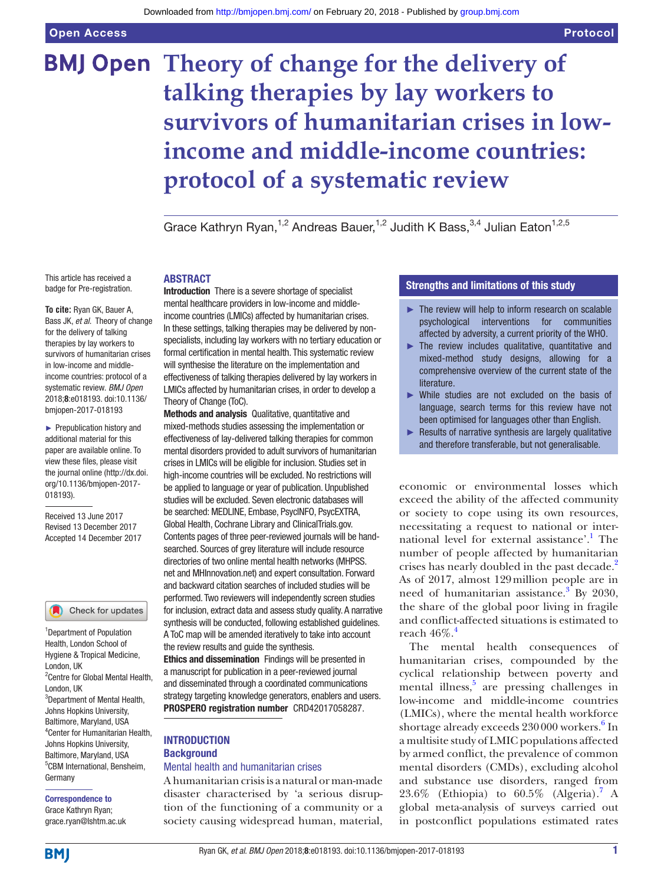# **BMJ Open Theory of change for the delivery of talking therapies by lay workers to survivors of humanitarian crises in lowincome and middle-income countries: protocol of a systematic review**

Grace Kathryn Ryan, <sup>1,2</sup> Andreas Bauer, <sup>1,2</sup> Judith K Bass,  $3,4$  Julian Eaton<sup>1,2,5</sup>

This article has received a badge for Pre-registration.

**To cite:** Ryan GK, Bauer A, Bass JK, *et al*. Theory of change for the delivery of talking therapies by lay workers to survivors of humanitarian crises in low-income and middleincome countries: protocol of a systematic review. *BMJ Open* 2018;8:e018193. doi:10.1136/ bmjopen-2017-018193

► Prepublication history and additional material for this paper are available online. To view these files, please visit the journal online [\(http://dx.doi.](http://dx.doi.org/10.1136/bmjopen-2017-018193) [org/10.1136/bmjopen-2017-](http://dx.doi.org/10.1136/bmjopen-2017-018193) [018193\)](http://dx.doi.org/10.1136/bmjopen-2017-018193).

Received 13 June 2017 Revised 13 December 2017 Accepted 14 December 2017

Check for updates

<sup>1</sup> Department of Population Health, London School of Hygiene & Tropical Medicine, London, UK <sup>2</sup> Centre for Global Mental Health, London, UK 3 Department of Mental Health, Johns Hopkins University, Baltimore, Maryland, USA 4 Center for Humanitarian Health, Johns Hopkins University, Baltimore, Maryland, USA 5 CBM International, Bensheim, Germany

# Correspondence to

Grace Kathryn Ryan; grace.ryan@lshtm.ac.uk **ABSTRACT** 

Introduction There is a severe shortage of specialist mental healthcare providers in low-income and middleincome countries (LMICs) affected by humanitarian crises. In these settings, talking therapies may be delivered by nonspecialists, including lay workers with no tertiary education or formal certification in mental health. This systematic review will synthesise the literature on the implementation and effectiveness of talking therapies delivered by lay workers in LMICs affected by humanitarian crises, in order to develop a Theory of Change (ToC).

Methods and analysis Qualitative, quantitative and mixed-methods studies assessing the implementation or effectiveness of lay-delivered talking therapies for common mental disorders provided to adult survivors of humanitarian crises in LMICs will be eligible for inclusion. Studies set in high-income countries will be excluded. No restrictions will be applied to language or year of publication. Unpublished studies will be excluded. Seven electronic databases will be searched: MEDLINE, Embase, PsycINFO, PsycEXTRA, Global Health, Cochrane Library and ClinicalTrials.gov. Contents pages of three peer-reviewed journals will be handsearched. Sources of grey literature will include resource directories of two online mental health networks (MHPSS. net and MHInnovation.net) and expert consultation. Forward and backward citation searches of included studies will be performed. Two reviewers will independently screen studies for inclusion, extract data and assess study quality. A narrative synthesis will be conducted, following established guidelines. A ToC map will be amended iteratively to take into account the review results and guide the synthesis.

Ethics and dissemination Findings will be presented in a manuscript for publication in a peer-reviewed journal and disseminated through a coordinated communications strategy targeting knowledge generators, enablers and users. PROSPERO registration number CRD42017058287.

# **INTRODUCTION Background**

#### Mental health and humanitarian crises

A humanitarian crisis is a natural or man-made disaster characterised by 'a serious disruption of the functioning of a community or a society causing widespread human, material,

# Strengths and limitations of this study

- ► The review will help to inform research on scalable psychological interventions for communities affected by adversity, a current priority of the WHO.
- $\blacktriangleright$  The review includes qualitative, quantitative and mixed-method study designs, allowing for a comprehensive overview of the current state of the literature.
- ► While studies are not excluded on the basis of language, search terms for this review have not been optimised for languages other than English.
- ► Results of narrative synthesis are largely qualitative and therefore transferable, but not generalisable.

economic or environmental losses which exceed the ability of the affected community or society to cope using its own resources, necessitating a request to national or international level for external assistance'[.1](#page-7-0) The number of people affected by humanitarian crises has nearly doubled in the past decade.<sup>2</sup> As of 2017, almost 129million people are in need of humanitarian assistance.<sup>[3](#page-7-2)</sup> By 2030, the share of the global poor living in fragile and conflict-affected situations is estimated to reach  $46\%$ .<sup>4</sup>

The mental health consequences of humanitarian crises, compounded by the cyclical relationship between poverty and mental illness,<sup>[5](#page-7-4)</sup> are pressing challenges in low-income and middle-income countries (LMICs), where the mental health workforce shortage already exceeds 230 000 workers.<sup>6</sup> In a multisite study of LMIC populations affected by armed conflict, the prevalence of common mental disorders (CMDs), excluding alcohol and substance use disorders, ranged from  $23.6\%$  (Ethiopia) to  $60.5\%$  (Algeria).<sup>[7](#page-7-6)</sup> A global meta-analysis of surveys carried out in postconflict populations estimated rates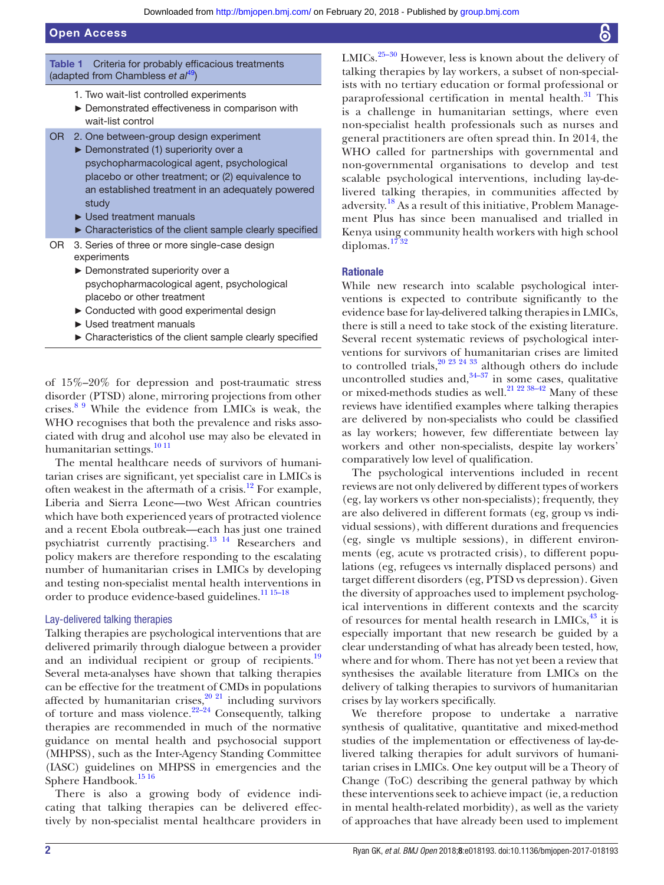<span id="page-1-0"></span>Table 1 Criteria for probably efficacious treatments (adapted from Chambless *et al*[49\)](#page-8-1)

- 1. Two wait-list controlled experiments
- ► Demonstrated effectiveness in comparison with wait-list control
- OR 2. One between-group design experiment
	- ► Demonstrated (1) superiority over a psychopharmacological agent, psychological placebo or other treatment; or (2) equivalence to an established treatment in an adequately powered study
	- ► Used treatment manuals
	- ► Characteristics of the client sample clearly specified
- OR 3. Series of three or more single-case design experiments
	- ► Demonstrated superiority over a psychopharmacological agent, psychological placebo or other treatment
	- ► Conducted with good experimental design
	- ► Used treatment manuals
	- ► Characteristics of the client sample clearly specified

of 15%–20% for depression and post-traumatic stress disorder (PTSD) alone, mirroring projections from other crises. $89$  While the evidence from LMICs is weak, the WHO recognises that both the prevalence and risks associated with drug and alcohol use may also be elevated in humanitarian settings.<sup>[10 11](#page-7-8)</sup>

The mental healthcare needs of survivors of humanitarian crises are significant, yet specialist care in LMICs is often weakest in the aftermath of a crisis.[12](#page-7-9) For example, Liberia and Sierra Leone—two West African countries which have both experienced years of protracted violence and a recent Ebola outbreak—each has just one trained psychiatrist currently practising.[13 14](#page-7-10) Researchers and policy makers are therefore responding to the escalating number of humanitarian crises in LMICs by developing and testing non-specialist mental health interventions in order to produce evidence-based guidelines.<sup>11 15-18</sup>

# Lay-delivered talking therapies

Talking therapies are psychological interventions that are delivered primarily through dialogue between a provider and an individual recipient or group of recipients.<sup>19</sup> Several meta-analyses have shown that talking therapies can be effective for the treatment of CMDs in populations affected by humanitarian crises, $20$   $21$  including survivors of torture and mass violence. $22-24$  Consequently, talking therapies are recommended in much of the normative guidance on mental health and psychosocial support (MHPSS), such as the Inter-Agency Standing Committee (IASC) guidelines on MHPSS in emergencies and the Sphere Handbook.<sup>15 16</sup>

There is also a growing body of evidence indicating that talking therapies can be delivered effectively by non-specialist mental healthcare providers in

 $LMICs.<sup>25-30</sup> However, less is known about the delivery of$ talking therapies by lay workers, a subset of non-specialists with no tertiary education or formal professional or paraprofessional certification in mental health.<sup>31</sup> This is a challenge in humanitarian settings, where even non-specialist health professionals such as nurses and general practitioners are often spread thin. In 2014, the WHO called for partnerships with governmental and non-governmental organisations to develop and test scalable psychological interventions, including lay-delivered talking therapies, in communities affected by adversity.[18](#page-7-18) As a result of this initiative, Problem Management Plus has since been manualised and trialled in Kenya using community health workers with high school diplomas. $1732$ 

# **Rationale**

While new research into scalable psychological interventions is expected to contribute significantly to the evidence base for lay-delivered talking therapies in LMICs, there is still a need to take stock of the existing literature. Several recent systematic reviews of psychological interventions for survivors of humanitarian crises are limited to controlled trials, $20\frac{20\frac{23}{4}\frac{24}{33}}{3}$  although others do include uncontrolled studies and, $34-37$  in some cases, qualitative or mixed-methods studies as well.<sup>21</sup> <sup>22</sup> <sup>38–42</sup> Many of these reviews have identified examples where talking therapies are delivered by non-specialists who could be classified as lay workers; however, few differentiate between lay workers and other non-specialists, despite lay workers' comparatively low level of qualification.

The psychological interventions included in recent reviews are not only delivered by different types of workers (eg, lay workers vs other non-specialists); frequently, they are also delivered in different formats (eg, group vs individual sessions), with different durations and frequencies (eg, single vs multiple sessions), in different environments (eg, acute vs protracted crisis), to different populations (eg, refugees vs internally displaced persons) and target different disorders (eg, PTSD vs depression). Given the diversity of approaches used to implement psychological interventions in different contexts and the scarcity of resources for mental health research in  $LMICs<sub>1</sub><sup>43</sup>$  it is especially important that new research be guided by a clear understanding of what has already been tested, how, where and for whom. There has not yet been a review that synthesises the available literature from LMICs on the delivery of talking therapies to survivors of humanitarian crises by lay workers specifically.

We therefore propose to undertake a narrative synthesis of qualitative, quantitative and mixed-method studies of the implementation or effectiveness of lay-delivered talking therapies for adult survivors of humanitarian crises in LMICs. One key output will be a Theory of Change (ToC) describing the general pathway by which these interventions seek to achieve impact (ie, a reduction in mental health-related morbidity), as well as the variety of approaches that have already been used to implement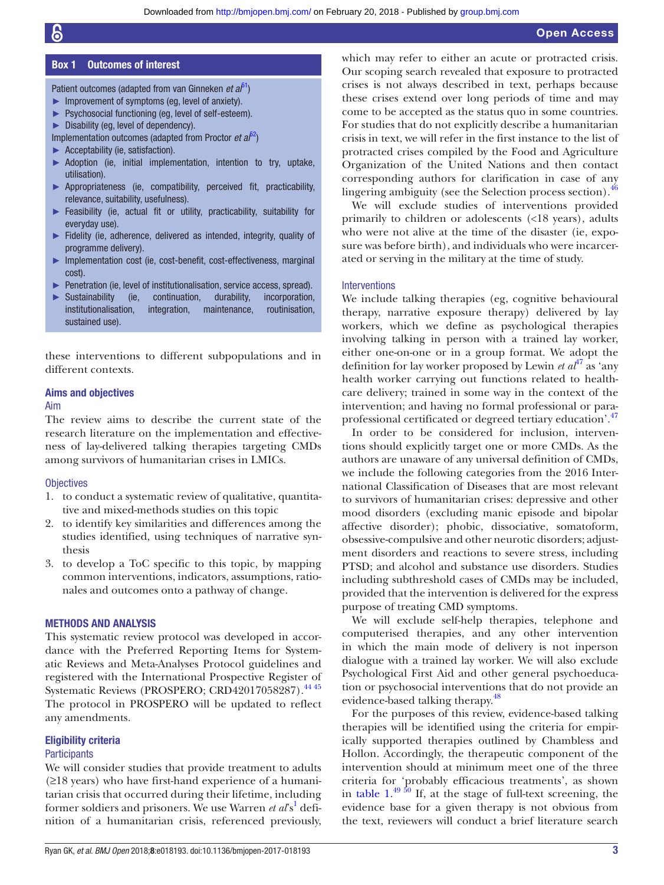# Box 1 Outcomes of interest

<span id="page-2-0"></span>Patient outcomes (adapted from van Ginneken *et al*<sup>[51](#page-8-6)</sup>)

- ► Improvement of symptoms (eg, level of anxiety).
- ► Psychosocial functioning (eg, level of self-esteem).
- ► Disability (eg, level of dependency).

Implementation outcomes (adapted from Proctor *et al*<sup> $52$ </sup>)

- ► Acceptability (ie, satisfaction).
- ► Adoption (ie, initial implementation, intention to try, uptake, utilisation).
- ► Appropriateness (ie, compatibility, perceived fit, practicability, relevance, suitability, usefulness).
- ► Feasibility (ie, actual fit or utility, practicability, suitability for everyday use).
- ► Fidelity (ie, adherence, delivered as intended, integrity, quality of programme delivery).
- ► Implementation cost (ie, cost-benefit, cost-effectiveness, marginal cost).
- ► Penetration (ie, level of institutionalisation, service access, spread).
- ► Sustainability (ie, continuation, durability, incorporation, institutionalisation, integration, maintenance, routinisation, sustained use).

these interventions to different subpopulations and in different contexts.

# Aims and objectives

### Aim

The review aims to describe the current state of the research literature on the implementation and effectiveness of lay-delivered talking therapies targeting CMDs among survivors of humanitarian crises in LMICs.

#### **Objectives**

- 1. to conduct a systematic review of qualitative, quantitative and mixed-methods studies on this topic
- 2. to identify key similarities and differences among the studies identified, using techniques of narrative synthesis
- 3. to develop a ToC specific to this topic, by mapping common interventions, indicators, assumptions, rationales and outcomes onto a pathway of change.

#### Methods and analysis

This systematic review protocol was developed in accordance with the Preferred Reporting Items for Systematic Reviews and Meta-Analyses Protocol guidelines and registered with the International Prospective Register of Systematic Reviews (PROSPERO; CRD42017058287).<sup>[44 45](#page-8-2)</sup> The protocol in PROSPERO will be updated to reflect any amendments.

# Eligibility criteria

#### **Participants**

We will consider studies that provide treatment to adults  $(\geq 18$  years) who have first-hand experience of a humanitarian crisis that occurred during their lifetime, including former soldiers and prisoners. We use Warren *et al*'s<sup>[1](#page-7-0)</sup> definition of a humanitarian crisis, referenced previously,

which may refer to either an acute or protracted crisis. Our scoping search revealed that exposure to protracted crises is not always described in text, perhaps because these crises extend over long periods of time and may come to be accepted as the status quo in some countries. For studies that do not explicitly describe a humanitarian crisis in text, we will refer in the first instance to the list of protracted crises compiled by the Food and Agriculture Organization of the United Nations and then contact corresponding authors for clarification in case of any lingering ambiguity (see the Selection process section).[46](#page-8-3)

We will exclude studies of interventions provided primarily to children or adolescents (<18 years), adults who were not alive at the time of the disaster (ie, exposure was before birth), and individuals who were incarcerated or serving in the military at the time of study.

#### **Interventions**

We include talking therapies (eg, cognitive behavioural therapy, narrative exposure therapy) delivered by lay workers, which we define as psychological therapies involving talking in person with a trained lay worker, either one-on-one or in a group format. We adopt the definition for lay worker proposed by Lewin *et al*<sup>[47](#page-8-4)</sup> as 'any health worker carrying out functions related to healthcare delivery; trained in some way in the context of the intervention; and having no formal professional or paraprofessional certificated or degreed tertiary education'.[47](#page-8-4)

In order to be considered for inclusion, interventions should explicitly target one or more CMDs. As the authors are unaware of any universal definition of CMDs, we include the following categories from the 2016 International Classification of Diseases that are most relevant to survivors of humanitarian crises: depressive and other mood disorders (excluding manic episode and bipolar affective disorder); phobic, dissociative, somatoform, obsessive-compulsive and other neurotic disorders; adjustment disorders and reactions to severe stress, including PTSD; and alcohol and substance use disorders. Studies including subthreshold cases of CMDs may be included, provided that the intervention is delivered for the express purpose of treating CMD symptoms.

We will exclude self-help therapies, telephone and computerised therapies, and any other intervention in which the main mode of delivery is not inperson dialogue with a trained lay worker. We will also exclude Psychological First Aid and other general psychoeducation or psychosocial interventions that do not provide an evidence-based talking therapy.<sup>[48](#page-8-5)</sup>

For the purposes of this review, evidence-based talking therapies will be identified using the criteria for empirically supported therapies outlined by Chambless and Hollon. Accordingly, the therapeutic component of the intervention should at minimum meet one of the three criteria for 'probably efficacious treatments', as shown in [table](#page-1-0)  $1^{49\,50}$  If, at the stage of full-text screening, the evidence base for a given therapy is not obvious from the text, reviewers will conduct a brief literature search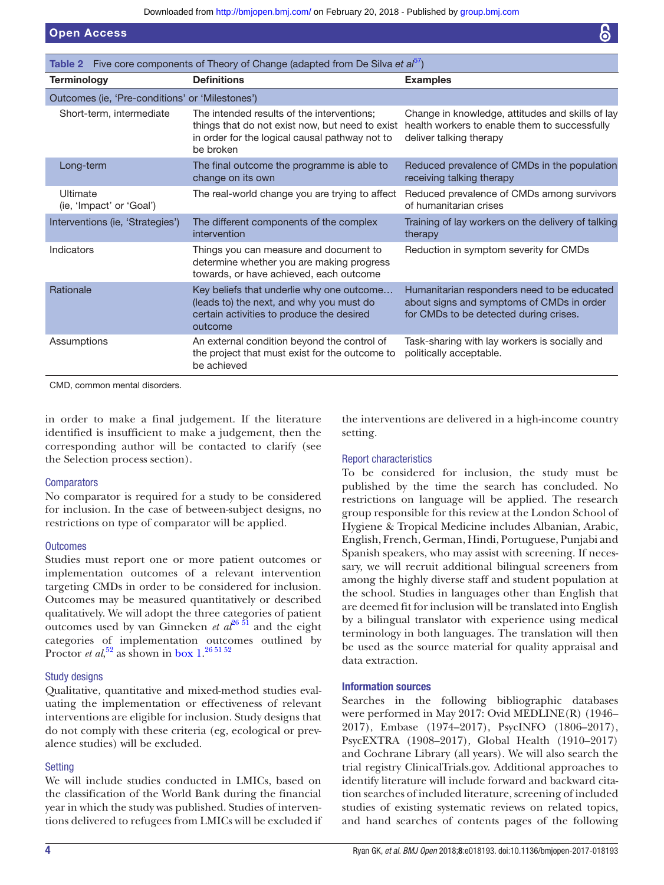<span id="page-3-0"></span>

| Five core components of Theory of Change (adapted from De Silva et $a^{(5)}$ )<br>Table 2 |                                                                                                                                                              |                                                                                                                                    |
|-------------------------------------------------------------------------------------------|--------------------------------------------------------------------------------------------------------------------------------------------------------------|------------------------------------------------------------------------------------------------------------------------------------|
| <b>Terminology</b>                                                                        | <b>Definitions</b>                                                                                                                                           | <b>Examples</b>                                                                                                                    |
| Outcomes (ie, 'Pre-conditions' or 'Milestones')                                           |                                                                                                                                                              |                                                                                                                                    |
| Short-term, intermediate                                                                  | The intended results of the interventions:<br>things that do not exist now, but need to exist<br>in order for the logical causal pathway not to<br>be broken | Change in knowledge, attitudes and skills of lay<br>health workers to enable them to successfully<br>deliver talking therapy       |
| Long-term                                                                                 | The final outcome the programme is able to<br>change on its own                                                                                              | Reduced prevalence of CMDs in the population<br>receiving talking therapy                                                          |
| Ultimate<br>(ie, 'Impact' or 'Goal')                                                      | The real-world change you are trying to affect                                                                                                               | Reduced prevalence of CMDs among survivors<br>of humanitarian crises                                                               |
| Interventions (ie, 'Strategies')                                                          | The different components of the complex<br>intervention                                                                                                      | Training of lay workers on the delivery of talking<br>therapy                                                                      |
| Indicators                                                                                | Things you can measure and document to<br>determine whether you are making progress<br>towards, or have achieved, each outcome                               | Reduction in symptom severity for CMDs                                                                                             |
| Rationale                                                                                 | Key beliefs that underlie why one outcome<br>(leads to) the next, and why you must do<br>certain activities to produce the desired<br>outcome                | Humanitarian responders need to be educated<br>about signs and symptoms of CMDs in order<br>for CMDs to be detected during crises. |
| Assumptions                                                                               | An external condition beyond the control of<br>the project that must exist for the outcome to<br>be achieved                                                 | Task-sharing with lay workers is socially and<br>politically acceptable.                                                           |

CMD, common mental disorders.

in order to make a final judgement. If the literature identified is insufficient to make a judgement, then the corresponding author will be contacted to clarify (see the Selection process section).

# **Comparators**

No comparator is required for a study to be considered for inclusion. In the case of between-subject designs, no restrictions on type of comparator will be applied.

# **Outcomes**

Studies must report one or more patient outcomes or implementation outcomes of a relevant intervention targeting CMDs in order to be considered for inclusion. Outcomes may be measured quantitatively or described qualitatively. We will adopt the three categories of patient outcomes used by van Ginneken *et*  $a^{2651}$  and the eight categories of implementation outcomes outlined by Proctor *et al*, $5^2$  as shown in [box](#page-2-0)  $1.^{26\,51\,52}$ 

# Study designs

Qualitative, quantitative and mixed-method studies evaluating the implementation or effectiveness of relevant interventions are eligible for inclusion. Study designs that do not comply with these criteria (eg, ecological or prevalence studies) will be excluded.

# **Setting**

We will include studies conducted in LMICs, based on the classification of the World Bank during the financial year in which the study was published. Studies of interventions delivered to refugees from LMICs will be excluded if the interventions are delivered in a high-income country setting.

# Report characteristics

To be considered for inclusion, the study must be published by the time the search has concluded. No restrictions on language will be applied. The research group responsible for this review at the London School of Hygiene & Tropical Medicine includes Albanian, Arabic, English, French, German, Hindi, Portuguese, Punjabi and Spanish speakers, who may assist with screening. If necessary, we will recruit additional bilingual screeners from among the highly diverse staff and student population at the school. Studies in languages other than English that are deemed fit for inclusion will be translated into English by a bilingual translator with experience using medical terminology in both languages. The translation will then be used as the source material for quality appraisal and data extraction.

#### Information sources

Searches in the following bibliographic databases were performed in May 2017: Ovid MEDLINE(R) (1946– 2017), Embase (1974–2017), PsycINFO (1806–2017), PsycEXTRA (1908–2017), Global Health (1910–2017) and Cochrane Library (all years). We will also search the trial registry ClinicalTrials.gov. Additional approaches to identify literature will include forward and backward citation searches of included literature, screening of included studies of existing systematic reviews on related topics, and hand searches of contents pages of the following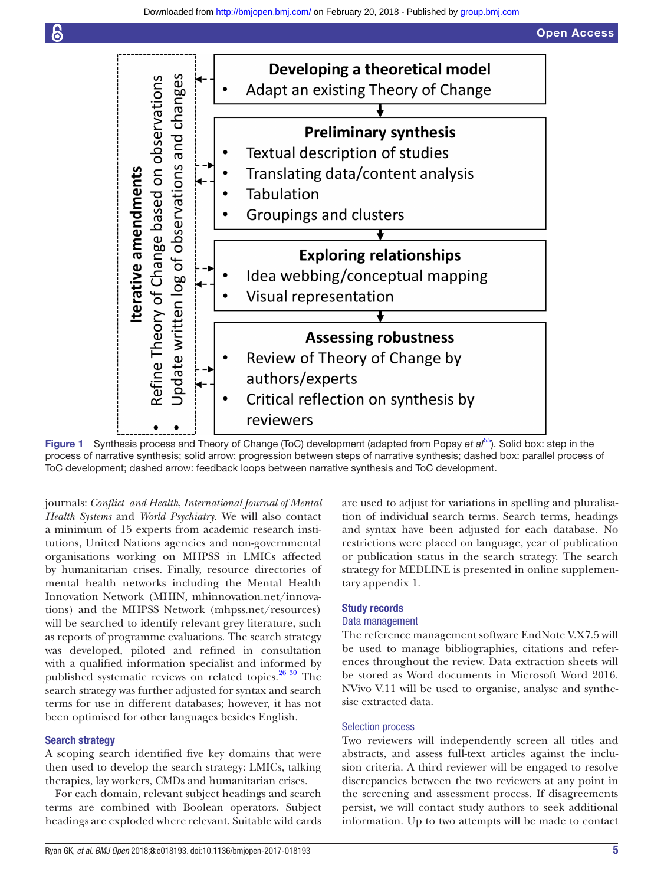



<span id="page-4-0"></span>Figure 1 Synthesis process and Theory of Change (ToC) development (adapted from Popay *et al*[55\)](#page-8-9). Solid box: step in the process of narrative synthesis; solid arrow: progression between steps of narrative synthesis; dashed box: parallel process of ToC development; dashed arrow: feedback loops between narrative synthesis and ToC development.

journals: *Conflict and Health*, *International Journal of Mental Health Systems* and *World Psychiatry*. We will also contact a minimum of 15 experts from academic research institutions, United Nations agencies and non-governmental organisations working on MHPSS in LMICs affected by humanitarian crises. Finally, resource directories of mental health networks including the Mental Health Innovation Network (MHIN, mhinnovation.net/innovations) and the MHPSS Network (mhpss.net/resources) will be searched to identify relevant grey literature, such as reports of programme evaluations. The search strategy was developed, piloted and refined in consultation with a qualified information specialist and informed by published systematic reviews on related topics.<sup>26 30</sup> The search strategy was further adjusted for syntax and search terms for use in different databases; however, it has not been optimised for other languages besides English.

# Search strategy

A scoping search identified five key domains that were then used to develop the search strategy: LMICs, talking therapies, lay workers, CMDs and humanitarian crises.

For each domain, relevant subject headings and search terms are combined with Boolean operators. Subject headings are exploded where relevant. Suitable wild cards are used to adjust for variations in spelling and pluralisation of individual search terms. Search terms, headings and syntax have been adjusted for each database. No restrictions were placed on language, year of publication or publication status in the search strategy. The search strategy for MEDLINE is presented in online [supplemen](https://dx.doi.org/10.1136/bmjopen-2017-018193)[tary appendix 1.](https://dx.doi.org/10.1136/bmjopen-2017-018193)

#### Study records

#### Data management

The reference management software EndNote V.X7.5 will be used to manage bibliographies, citations and references throughout the review. Data extraction sheets will be stored as Word documents in Microsoft Word 2016. NVivo V.11 will be used to organise, analyse and synthesise extracted data.

# Selection process

Two reviewers will independently screen all titles and abstracts, and assess full-text articles against the inclusion criteria. A third reviewer will be engaged to resolve discrepancies between the two reviewers at any point in the screening and assessment process. If disagreements persist, we will contact study authors to seek additional information. Up to two attempts will be made to contact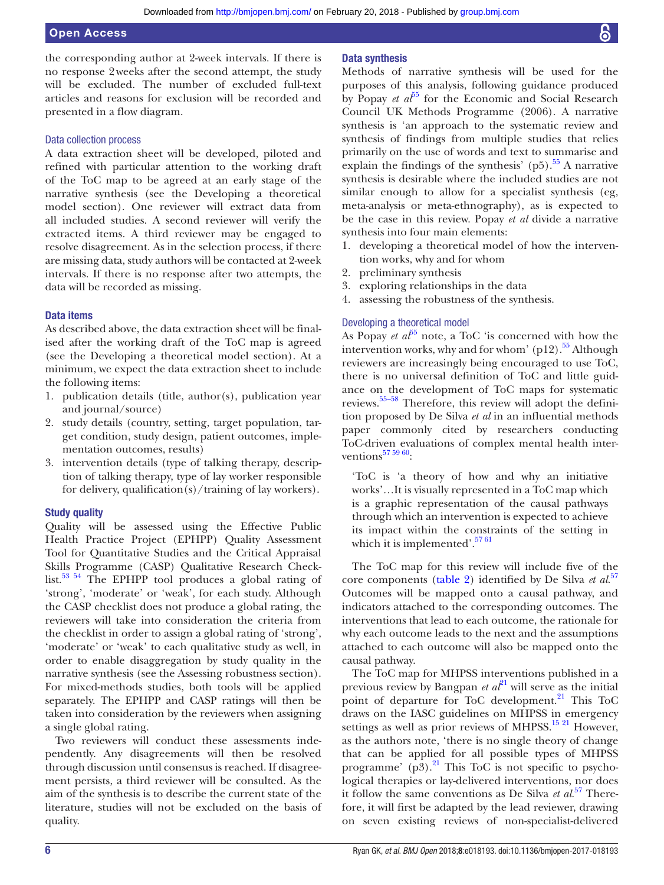Data synthesis

# Data collection process

A data extraction sheet will be developed, piloted and refined with particular attention to the working draft of the ToC map to be agreed at an early stage of the narrative synthesis (see the Developing a theoretical model section). One reviewer will extract data from all included studies. A second reviewer will verify the extracted items. A third reviewer may be engaged to resolve disagreement. As in the selection process, if there are missing data, study authors will be contacted at 2-week intervals. If there is no response after two attempts, the data will be recorded as missing.

# Data items

As described above, the data extraction sheet will be finalised after the working draft of the ToC map is agreed (see the Developing a theoretical model section). At a minimum, we expect the data extraction sheet to include the following items:

- 1. publication details (title, author(s), publication year and journal/source)
- 2. study details (country, setting, target population, target condition, study design, patient outcomes, implementation outcomes, results)
- 3. intervention details (type of talking therapy, description of talking therapy, type of lay worker responsible for delivery, qualification(s)/training of lay workers).

# Study quality

Quality will be assessed using the Effective Public Health Practice Project (EPHPP) Quality Assessment Tool for Quantitative Studies and the Critical Appraisal Skills Programme (CASP) Qualitative Research Checklist[.53 54](#page-8-10) The EPHPP tool produces a global rating of 'strong', 'moderate' or 'weak', for each study. Although the CASP checklist does not produce a global rating, the reviewers will take into consideration the criteria from the checklist in order to assign a global rating of 'strong', 'moderate' or 'weak' to each qualitative study as well, in order to enable disaggregation by study quality in the narrative synthesis (see the Assessing robustness section). For mixed-methods studies, both tools will be applied separately. The EPHPP and CASP ratings will then be taken into consideration by the reviewers when assigning a single global rating.

Two reviewers will conduct these assessments independently. Any disagreements will then be resolved through discussion until consensus is reached. If disagreement persists, a third reviewer will be consulted. As the aim of the synthesis is to describe the current state of the literature, studies will not be excluded on the basis of quality.

Methods of narrative synthesis will be used for the purposes of this analysis, following guidance produced by Popay *et al*<sup>[55](#page-8-9)</sup> for the Economic and Social Research Council UK Methods Programme (2006). A narrative synthesis is 'an approach to the systematic review and synthesis of findings from multiple studies that relies primarily on the use of words and text to summarise and explain the findings of the synthesis'  $(p5)$ .<sup>55</sup> A narrative synthesis is desirable where the included studies are not similar enough to allow for a specialist synthesis (eg, meta-analysis or meta-ethnography), as is expected to be the case in this review. Popay *et al* divide a narrative synthesis into four main elements:

- 1. developing a theoretical model of how the intervention works, why and for whom
- 2. preliminary synthesis
- 3. exploring relationships in the data
- 4. assessing the robustness of the synthesis.

# Developing a theoretical model

As Popay *et al*<sup> $55$ </sup> note, a ToC 'is concerned with how the intervention works, why and for whom' (p12). $55$  Although reviewers are increasingly being encouraged to use ToC, there is no universal definition of ToC and little guidance on the development of ToC maps for systematic reviews[.55–58](#page-8-9) Therefore, this review will adopt the definition proposed by De Silva *et al* in an influential methods paper commonly cited by researchers conducting ToC-driven evaluations of complex mental health interventions $^{57\,59\,60}$ :

'ToC is 'a theory of how and why an initiative works'…It is visually represented in a ToC map which is a graphic representation of the causal pathways through which an intervention is expected to achieve its impact within the constraints of the setting in which it is implemented'. $5761$ 

The ToC map for this review will include five of the core components ([table](#page-3-0) 2) identified by De Silva *et al*. [57](#page-8-8) Outcomes will be mapped onto a causal pathway, and indicators attached to the corresponding outcomes. The interventions that lead to each outcome, the rationale for why each outcome leads to the next and the assumptions attached to each outcome will also be mapped onto the causal pathway.

The ToC map for MHPSS interventions published in a previous review by Bangpan *et al*<sup>[21](#page-7-21)</sup> will serve as the initial point of departure for ToC development.<sup>21</sup> This ToC draws on the IASC guidelines on MHPSS in emergency settings as well as prior reviews of MHPSS.<sup>[15 21](#page-7-15)</sup> However, as the authors note, 'there is no single theory of change that can be applied for all possible types of MHPSS programme'  $(p3)$ .<sup>21</sup> This ToC is not specific to psychological therapies or lay-delivered interventions, nor does it follow the same conventions as De Silva *et al.*<sup>[57](#page-8-8)</sup> Therefore, it will first be adapted by the lead reviewer, drawing on seven existing reviews of non-specialist-delivered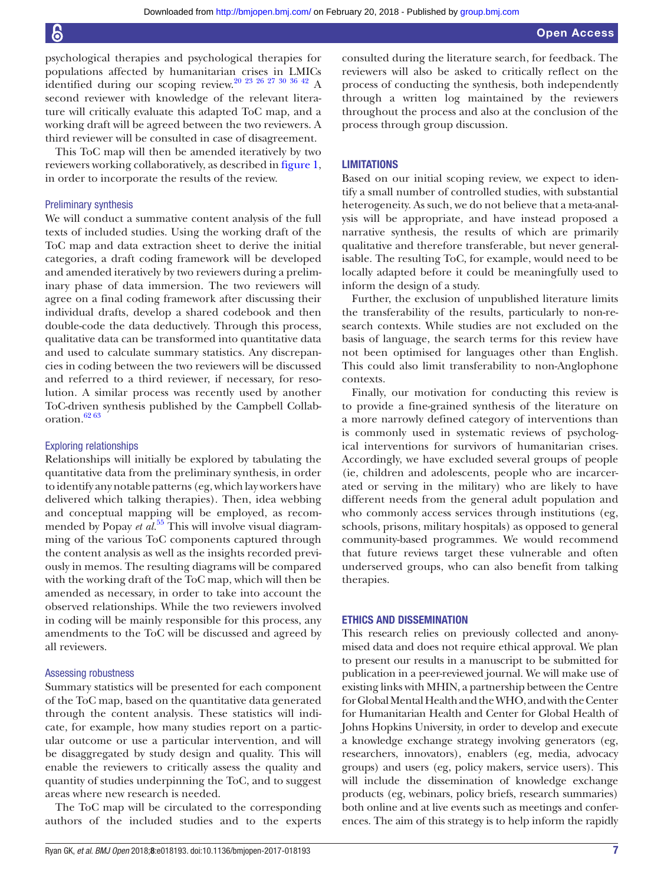psychological therapies and psychological therapies for populations affected by humanitarian crises in LMICs identified during our scoping review.[20 23 26 27 30 36 42](#page-7-13) A second reviewer with knowledge of the relevant literature will critically evaluate this adapted ToC map, and a working draft will be agreed between the two reviewers. A third reviewer will be consulted in case of disagreement.

This ToC map will then be amended iteratively by two reviewers working collaboratively, as described in [figure](#page-4-0) 1, in order to incorporate the results of the review.

#### Preliminary synthesis

We will conduct a summative content analysis of the full texts of included studies. Using the working draft of the ToC map and data extraction sheet to derive the initial categories, a draft coding framework will be developed and amended iteratively by two reviewers during a preliminary phase of data immersion. The two reviewers will agree on a final coding framework after discussing their individual drafts, develop a shared codebook and then double-code the data deductively. Through this process, qualitative data can be transformed into quantitative data and used to calculate summary statistics. Any discrepancies in coding between the two reviewers will be discussed and referred to a third reviewer, if necessary, for resolution. A similar process was recently used by another ToC-driven synthesis published by the Campbell Collaboration.<sup>62</sup> 63

#### Exploring relationships

Relationships will initially be explored by tabulating the quantitative data from the preliminary synthesis, in order to identify any notable patterns (eg, which lay workers have delivered which talking therapies). Then, idea webbing and conceptual mapping will be employed, as recommended by Popay *et al.*<sup>[55](#page-8-9)</sup> This will involve visual diagramming of the various ToC components captured through the content analysis as well as the insights recorded previously in memos. The resulting diagrams will be compared with the working draft of the ToC map, which will then be amended as necessary, in order to take into account the observed relationships. While the two reviewers involved in coding will be mainly responsible for this process, any amendments to the ToC will be discussed and agreed by all reviewers.

#### Assessing robustness

Summary statistics will be presented for each component of the ToC map, based on the quantitative data generated through the content analysis. These statistics will indicate, for example, how many studies report on a particular outcome or use a particular intervention, and will be disaggregated by study design and quality. This will enable the reviewers to critically assess the quality and quantity of studies underpinning the ToC, and to suggest areas where new research is needed.

The ToC map will be circulated to the corresponding authors of the included studies and to the experts consulted during the literature search, for feedback. The reviewers will also be asked to critically reflect on the process of conducting the synthesis, both independently through a written log maintained by the reviewers throughout the process and also at the conclusion of the process through group discussion.

#### **LIMITATIONS**

Based on our initial scoping review, we expect to identify a small number of controlled studies, with substantial heterogeneity. As such, we do not believe that a meta-analysis will be appropriate, and have instead proposed a narrative synthesis, the results of which are primarily qualitative and therefore transferable, but never generalisable. The resulting ToC, for example, would need to be locally adapted before it could be meaningfully used to inform the design of a study.

Further, the exclusion of unpublished literature limits the transferability of the results, particularly to non-research contexts. While studies are not excluded on the basis of language, the search terms for this review have not been optimised for languages other than English. This could also limit transferability to non-Anglophone contexts.

Finally, our motivation for conducting this review is to provide a fine-grained synthesis of the literature on a more narrowly defined category of interventions than is commonly used in systematic reviews of psychological interventions for survivors of humanitarian crises. Accordingly, we have excluded several groups of people (ie, children and adolescents, people who are incarcerated or serving in the military) who are likely to have different needs from the general adult population and who commonly access services through institutions (eg, schools, prisons, military hospitals) as opposed to general community-based programmes. We would recommend that future reviews target these vulnerable and often underserved groups, who can also benefit from talking therapies.

#### Ethics and dissemination

This research relies on previously collected and anonymised data and does not require ethical approval. We plan to present our results in a manuscript to be submitted for publication in a peer-reviewed journal. We will make use of existing links with MHIN, a partnership between the Centre for Global Mental Health and the WHO, and with the Center for Humanitarian Health and Center for Global Health of Johns Hopkins University, in order to develop and execute a knowledge exchange strategy involving generators (eg, researchers, innovators), enablers (eg, media, advocacy groups) and users (eg, policy makers, service users). This will include the dissemination of knowledge exchange products (eg, webinars, policy briefs, research summaries) both online and at live events such as meetings and conferences. The aim of this strategy is to help inform the rapidly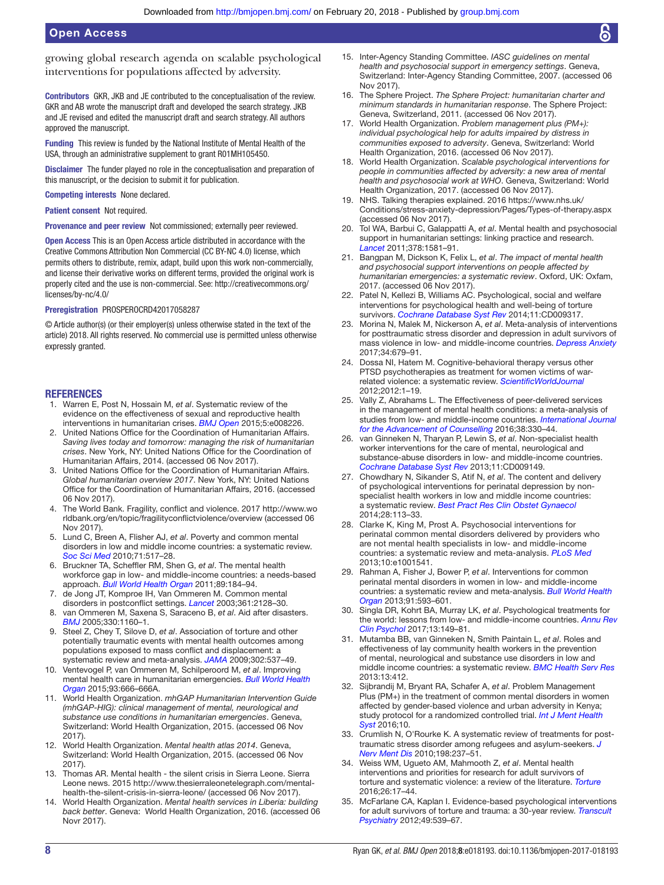growing global research agenda on scalable psychological interventions for populations affected by adversity.

Contributors GKR, JKB and JE contributed to the conceptualisation of the review. GKR and AB wrote the manuscript draft and developed the search strategy. JKB and JE revised and edited the manuscript draft and search strategy. All authors approved the manuscript.

Funding This review is funded by the National Institute of Mental Health of the USA, through an administrative supplement to grant R01MH105450.

Disclaimer The funder played no role in the conceptualisation and preparation of this manuscript, or the decision to submit it for publication.

Competing interests None declared.

Patient consent Not required.

Provenance and peer review Not commissioned; externally peer reviewed.

Open Access This is an Open Access article distributed in accordance with the Creative Commons Attribution Non Commercial (CC BY-NC 4.0) license, which permits others to distribute, remix, adapt, build upon this work non-commercially, and license their derivative works on different terms, provided the original work is properly cited and the use is non-commercial. See: [http://creativecommons.org/](http://creativecommons.org/licenses/by-nc/4.0/) [licenses/by-nc/4.0/](http://creativecommons.org/licenses/by-nc/4.0/)

#### Preregistration PROSPEROCRD42017058287

© Article author(s) (or their employer(s) unless otherwise stated in the text of the article) 2018. All rights reserved. No commercial use is permitted unless otherwise expressly granted.

#### **REFERENCES**

- <span id="page-7-0"></span>1. Warren E, Post N, Hossain M, *et al*. Systematic review of the evidence on the effectiveness of sexual and reproductive health interventions in humanitarian crises. *[BMJ Open](http://dx.doi.org/10.1136/bmjopen-2015-008226)* 2015;5:e008226.
- <span id="page-7-1"></span>2. United Nations Office for the Coordination of Humanitarian Affairs. *Saving lives today and tomorrow: managing the risk of humanitarian crises*. New York, NY: United Nations Office for the Coordination of Humanitarian Affairs, 2014. (accessed 06 Nov 2017).
- <span id="page-7-2"></span>3. United Nations Office for the Coordination of Humanitarian Affairs. *Global humanitarian overview 2017*. New York, NY: United Nations Office for the Coordination of Humanitarian Affairs, 2016. (accessed 06 Nov 2017).
- <span id="page-7-3"></span>4. The World Bank. Fragility, conflict and violence. 2017 [http://www.wo](http://www.worldbank.org/en/topic/fragilityconflictviolence/overview) [rldbank.org/en/topic/fragilityconflictviolence/overview](http://www.worldbank.org/en/topic/fragilityconflictviolence/overview) (accessed 06 Nov 2017).
- <span id="page-7-4"></span>5. Lund C, Breen A, Flisher AJ, *et al*. Poverty and common mental disorders in low and middle income countries: a systematic review. *[Soc Sci Med](http://dx.doi.org/10.1016/j.socscimed.2010.04.027)* 2010;71:517–28.
- <span id="page-7-5"></span>6. Bruckner TA, Scheffler RM, Shen G, *et al*. The mental health workforce gap in low- and middle-income countries: a needs-based approach. *[Bull World Health Organ](http://dx.doi.org/10.2471/BLT.10.082784)* 2011;89:184–94.
- <span id="page-7-6"></span>7. de Jong JT, Komproe IH, Van Ommeren M. Common mental disorders in postconflict settings. *[Lancet](http://dx.doi.org/10.1016/S0140-6736(03)13692-6)* 2003;361:2128–30.
- <span id="page-7-7"></span>8. van Ommeren M, Saxena S, Saraceno B, *et al*. Aid after disasters. *[BMJ](http://dx.doi.org/10.1136/bmj.330.7501.1160)* 2005;330:1160–1.
- 9. Steel Z, Chey T, Silove D, *et al*. Association of torture and other potentially traumatic events with mental health outcomes among populations exposed to mass conflict and displacement: a systematic review and meta-analysis. *[JAMA](http://dx.doi.org/10.1001/jama.2009.1132)* 2009;302:537–49.
- <span id="page-7-8"></span>10. Ventevogel P, van Ommeren M, Schilperoord M, *et al*. Improving mental health care in humanitarian emergencies. *[Bull World Health](http://dx.doi.org/10.2471/BLT.15.156919)  [Organ](http://dx.doi.org/10.2471/BLT.15.156919)* 2015;93:666–666A.
- <span id="page-7-11"></span>11. World Health Organization. *mhGAP Humanitarian Intervention Guide (mhGAP-HIG): clinical management of mental, neurological and substance use conditions in humanitarian emergencies*. Geneva, Switzerland: World Health Organization, 2015. (accessed 06 Nov 2017).
- <span id="page-7-9"></span>12. World Health Organization. *Mental health atlas 2014*. Geneva, Switzerland: World Health Organization, 2015. (accessed 06 Nov 2017).
- <span id="page-7-10"></span>13. Thomas AR. Mental health - the silent crisis in Sierra Leone. Sierra Leone news. 2015 [http://www.thesierraleonetelegraph.com/mental](http://www.thesierraleonetelegraph.com/mental-health-the-silent-crisis-in-sierra-leone/)[health-the-silent-crisis-in-sierra-leone/](http://www.thesierraleonetelegraph.com/mental-health-the-silent-crisis-in-sierra-leone/) (accessed 06 Nov 2017).
- 14. World Health Organization. *Mental health services in Liberia: building back better*. Geneva: World Health Organization, 2016. (accessed 06 Novr 2017).
- <span id="page-7-15"></span>15. Inter-Agency Standing Committee. *IASC guidelines on mental health and psychosocial support in emergency settings*. Geneva, Switzerland: Inter-Agency Standing Committee, 2007. (accessed 06 Nov 2017).
- 16. The Sphere Project. *The Sphere Project: humanitarian charter and minimum standards in humanitarian response*. The Sphere Project: Geneva, Switzerland, 2011. (accessed 06 Nov 2017).
- <span id="page-7-19"></span>17. World Health Organization. *Problem management plus (PM+): individual psychological help for adults impaired by distress in communities exposed to adversity*. Geneva, Switzerland: World Health Organization, 2016. (accessed 06 Nov 2017).
- <span id="page-7-18"></span>18. World Health Organization. *Scalable psychological interventions for people in communities affected by adversity: a new area of mental health and psychosocial work at WHO*. Geneva, Switzerland: World Health Organization, 2017. (accessed 06 Nov 2017).
- <span id="page-7-12"></span>19. NHS. Talking therapies explained. 2016 [https://www.nhs.uk/](https://www.nhs.uk/Conditions/stress-anxiety-depression/Pages/Types-of-therapy.aspx) [Conditions/stress-anxiety-depression/Pages/Types-of-therapy.aspx](https://www.nhs.uk/Conditions/stress-anxiety-depression/Pages/Types-of-therapy.aspx)  (accessed 06 Nov 2017).
- <span id="page-7-13"></span>20. Tol WA, Barbui C, Galappatti A, *et al*. Mental health and psychosocial support in humanitarian settings: linking practice and research. *[Lancet](http://dx.doi.org/10.1016/S0140-6736(11)61094-5)* 2011;378:1581–91.
- <span id="page-7-21"></span>21. Bangpan M, Dickson K, Felix L, *et al*. *The impact of mental health and psychosocial support interventions on people affected by humanitarian emergencies: a systematic review*. Oxford, UK: Oxfam, 2017. (accessed 06 Nov 2017).
- <span id="page-7-14"></span>22. Patel N, Kellezi B, Williams AC. Psychological, social and welfare interventions for psychological health and well-being of torture survivors. *[Cochrane Database Syst Rev](http://dx.doi.org/10.1002/14651858.CD009317.pub2)* 2014;11:CD009317.
- 23. Morina N, Malek M, Nickerson A, *et al*. Meta-analysis of interventions for posttraumatic stress disorder and depression in adult survivors of mass violence in low- and middle-income countries. *[Depress Anxiety](http://dx.doi.org/10.1002/da.22618)* 2017;34:679–91.
- 24. Dossa NI, Hatem M. Cognitive-behavioral therapy versus other PTSD psychotherapies as treatment for women victims of warrelated violence: a systematic review. *[ScientificWorldJournal](http://dx.doi.org/10.1100/2012/181847)* 2012;2012:1–19.
- <span id="page-7-16"></span>25. Vally Z, Abrahams L. The Effectiveness of peer-delivered services in the management of mental health conditions: a meta-analysis of studies from low- and middle-income countries. *[International Journal](http://dx.doi.org/10.1007/s10447-016-9275-6)  [for the Advancement of Counselling](http://dx.doi.org/10.1007/s10447-016-9275-6)* 2016;38:330–44.
- <span id="page-7-22"></span>26. van Ginneken N, Tharyan P, Lewin S, *et al*. Non-specialist health worker interventions for the care of mental, neurological and substance-abuse disorders in low- and middle-income countries. *[Cochrane Database Syst Rev](http://dx.doi.org/10.1002/14651858.CD009149.pub2)* 2013;11:CD009149.
- 27. Chowdhary N, Sikander S, Atif N, *et al*. The content and delivery of psychological interventions for perinatal depression by nonspecialist health workers in low and middle income countries: a systematic review. *[Best Pract Res Clin Obstet Gynaecol](http://dx.doi.org/10.1016/j.bpobgyn.2013.08.013)* 2014;28:113–33.
- 28. Clarke K, King M, Prost A. Psychosocial interventions for perinatal common mental disorders delivered by providers who are not mental health specialists in low- and middle-income countries: a systematic review and meta-analysis. *[PLoS Med](http://dx.doi.org/10.1371/journal.pmed.1001541)* 2013;10:e1001541.
- 29. Rahman A, Fisher J, Bower P, *et al*. Interventions for common perinatal mental disorders in women in low- and middle-income countries: a systematic review and meta-analysis. *[Bull World Health](http://dx.doi.org/10.2471/BLT.12.109819)  [Organ](http://dx.doi.org/10.2471/BLT.12.109819)* 2013;91:593–601.
- 30. Singla DR, Kohrt BA, Murray LK, *et al*. Psychological treatments for the world: lessons from low- and middle-income countries. *[Annu Rev](http://dx.doi.org/10.1146/annurev-clinpsy-032816-045217)  [Clin Psychol](http://dx.doi.org/10.1146/annurev-clinpsy-032816-045217)* 2017;13:149–81.
- <span id="page-7-17"></span>31. Mutamba BB, van Ginneken N, Smith Paintain L, *et al*. Roles and effectiveness of lay community health workers in the prevention of mental, neurological and substance use disorders in low and middle income countries: a systematic review. *[BMC Health Serv Res](http://dx.doi.org/10.1186/1472-6963-13-412)* 2013:13:412.
- 32. Sijbrandij M, Bryant RA, Schafer A, *et al*. Problem Management Plus (PM+) in the treatment of common mental disorders in women affected by gender-based violence and urban adversity in Kenya; study protocol for a randomized controlled trial. *[Int J Ment Health](http://dx.doi.org/10.1186/s13033-016-0075-5)  [Syst](http://dx.doi.org/10.1186/s13033-016-0075-5)* 2016;10.
- 33. Crumlish N, O'Rourke K. A systematic review of treatments for posttraumatic stress disorder among refugees and asylum-seekers. *[J](http://dx.doi.org/10.1097/NMD.0b013e3181d61258)  [Nerv Ment Dis](http://dx.doi.org/10.1097/NMD.0b013e3181d61258)* 2010;198:237–51.
- <span id="page-7-20"></span>34. Weiss WM, Ugueto AM, Mahmooth Z, *et al*. Mental health interventions and priorities for research for adult survivors of torture and systematic violence: a review of the literature. *[Torture](http://www.ncbi.nlm.nih.gov/pubmed/27857003)* 2016;26:17–44.
- 35. McFarlane CA, Kaplan I. Evidence-based psychological interventions for adult survivors of torture and trauma: a 30-year review. *[Transcult](http://dx.doi.org/10.1177/1363461512447608)  [Psychiatry](http://dx.doi.org/10.1177/1363461512447608)* 2012;49:539–67.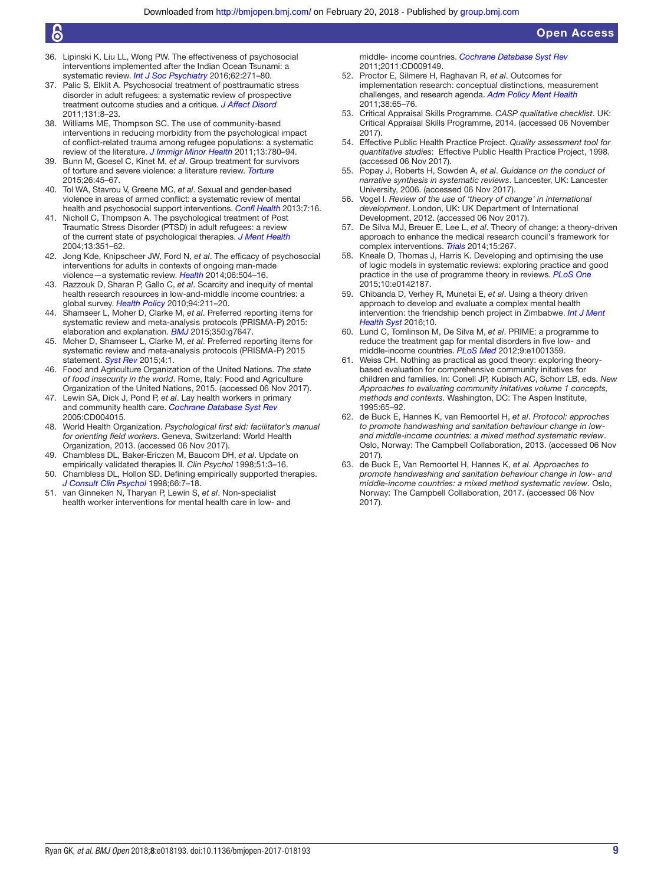- 36. Lipinski K, Liu LL, Wong PW. The effectiveness of psychosocial interventions implemented after the Indian Ocean Tsunami: a systematic review. *[Int J Soc Psychiatry](http://dx.doi.org/10.1177/0020764015623807)* 2016;62:271–80.
- 37. Palic S, Elklit A. Psychosocial treatment of posttraumatic stress disorder in adult refugees: a systematic review of prospective treatment outcome studies and a critique. *[J Affect Disord](http://dx.doi.org/10.1016/j.jad.2010.07.005)* 2011;131:8–23.
- 38. Williams ME, Thompson SC. The use of community-based interventions in reducing morbidity from the psychological impact of conflict-related trauma among refugee populations: a systematic review of the literature. *[J Immigr Minor Health](http://dx.doi.org/10.1007/s10903-010-9417-6)* 2011;13:780–94.
- 39. Bunn M, Goesel C, Kinet M, *et al*. Group treatment for survivors of torture and severe violence: a literature review. *[Torture](http://www.ncbi.nlm.nih.gov/pubmed/27857004)* 2015;26:45–67.
- 40. Tol WA, Stavrou V, Greene MC, *et al*. Sexual and gender-based violence in areas of armed conflict: a systematic review of mental health and psychosocial support interventions. *[Confl Health](http://dx.doi.org/10.1186/1752-1505-7-16)* 2013;7:16.
- 41. Nicholl C, Thompson A. The psychological treatment of Post Traumatic Stress Disorder (PTSD) in adult refugees: a review of the current state of psychological therapies. *[J Ment Health](http://dx.doi.org/10.1080/09638230410001729807)* 2004;13:351–62.
- 42. Jong Kde, Knipscheer JW, Ford N, *et al*. The efficacy of psychosocial interventions for adults in contexts of ongoing man-made violence—a systematic review. *[Health](http://dx.doi.org/10.4236/health.2014.66070)* 2014;06:504–16.
- <span id="page-8-0"></span>43. Razzouk D, Sharan P, Gallo C, *et al*. Scarcity and inequity of mental health research resources in low-and-middle income countries: a global survey. *[Health Policy](http://dx.doi.org/10.1016/j.healthpol.2009.09.009)* 2010;94:211–20.
- <span id="page-8-2"></span>44. Shamseer L, Moher D, Clarke M, *et al*. Preferred reporting items for systematic review and meta-analysis protocols (PRISMA-P) 2015: elaboration and explanation. *[BMJ](http://dx.doi.org/10.1136/bmj.g7647)* 2015;350:g7647.
- 45. Moher D, Shamseer L, Clarke M, *et al*. Preferred reporting items for systematic review and meta-analysis protocols (PRISMA-P) 2015 statement. *[Syst Rev](http://dx.doi.org/10.1186/2046-4053-4-1)* 2015;4:1.
- <span id="page-8-3"></span>46. Food and Agriculture Organization of the United Nations. *The state of food insecurity in the world*. Rome, Italy: Food and Agriculture Organization of the United Nations, 2015. (accessed 06 Nov 2017).
- <span id="page-8-4"></span>47. Lewin SA, Dick J, Pond P, *et al*. Lay health workers in primary and community health care. *[Cochrane Database Syst Rev](http://dx.doi.org/10.1002/14651858.CD004015.pub2)* 2005:CD004015.
- <span id="page-8-5"></span>48. World Health Organization. *Psychological first aid: facilitator's manual for orienting field workers*. Geneva, Switzerland: World Health Organization, 2013. (accessed 06 Nov 2017).
- <span id="page-8-1"></span>49. Chambless DL, Baker-Ericzen M, Baucom DH, *et al*. Update on empirically validated therapies II. *Clin Psychol* 1998;51:3–16.
- 50. Chambless DL, Hollon SD. Defining empirically supported therapies. *[J Consult Clin Psychol](http://dx.doi.org/10.1037/0022-006X.66.1.7)* 1998;66:7–18.
- <span id="page-8-6"></span>51. van Ginneken N, Tharyan P, Lewin S, *et al*. Non-specialist health worker interventions for mental health care in low- and

middle- income countries. *[Cochrane Database Syst Rev](http://dx.doi.org/10.1002/14651858.CD009149)* 2011;2011:CD009149.

- <span id="page-8-7"></span>52. Proctor E, Silmere H, Raghavan R, *et al*. Outcomes for implementation research: conceptual distinctions, measurement challenges, and research agenda. *[Adm Policy Ment Health](http://dx.doi.org/10.1007/s10488-010-0319-7)* 2011;38:65–76.
- <span id="page-8-10"></span>53. Critical Appraisal Skills Programme. *CASP qualitative checklist*. UK: Critical Appraisal Skills Programme, 2014. (accessed 06 November 2017).
- 54. Effective Public Health Practice Project. *Quality assessment tool for quantitative studies*: Effective Public Health Practice Project, 1998. (accessed 06 Nov 2017).
- <span id="page-8-9"></span>55. Popay J, Roberts H, Sowden A, *et al*. *Guidance on the conduct of narrative synthesis in systematic reviews*. Lancester, UK: Lancester University, 2006. (accessed 06 Nov 2017).
- 56. Vogel I. *Review of the use of 'theory of change' in international development*. London, UK: UK Department of International Development, 2012. (accessed 06 Nov 2017).
- <span id="page-8-8"></span>57. De Silva MJ, Breuer E, Lee L, *et al*. Theory of change: a theory-driven approach to enhance the medical research council's framework for complex interventions. *[Trials](http://dx.doi.org/10.1186/1745-6215-15-267)* 2014;15:267.
- 58. Kneale D, Thomas J, Harris K. Developing and optimising the use of logic models in systematic reviews: exploring practice and good practice in the use of programme theory in reviews. *[PLoS One](http://dx.doi.org/10.1371/journal.pone.0142187)* 2015;10:e0142187.
- 59. Chibanda D, Verhey R, Munetsi E, *et al*. Using a theory driven approach to develop and evaluate a complex mental health intervention: the friendship bench project in Zimbabwe. *[Int J Ment](http://dx.doi.org/10.1186/s13033-016-0050-1)  [Health Syst](http://dx.doi.org/10.1186/s13033-016-0050-1)* 2016;10.
- 60. Lund C, Tomlinson M, De Silva M, *et al*. PRIME: a programme to reduce the treatment gap for mental disorders in five low- and middle-income countries. *[PLoS Med](http://dx.doi.org/10.1371/journal.pmed.1001359)* 2012;9:e1001359.
- 61. Weiss CH. Nothing as practical as good theory: exploring theorybased evaluation for comprehensive community initatives for children and families. In: Conell JP, Kubisch AC, Schorr LB, eds. *New Approaches to evaluating community initatives volume 1 concepts, methods and contexts*. Washington, DC: The Aspen Institute, 1995:65–92.
- <span id="page-8-11"></span>62. de Buck E, Hannes K, van Remoortel H, *et al*. *Protocol: approches to promote handwashing and sanitation behaviour change in lowand middle-income countries: a mixed method systematic review*. Oslo, Norway: The Campbell Collaboration, 2013. (accessed 06 Nov 2017).
- 63. de Buck E, Van Remoortel H, Hannes K, *et al*. *Approaches to promote handwashing and sanitation behaviour change in low- and middle-income countries: a mixed method systematic review*. Oslo, Norway: The Campbell Collaboration, 2017. (accessed 06 Nov 2017).